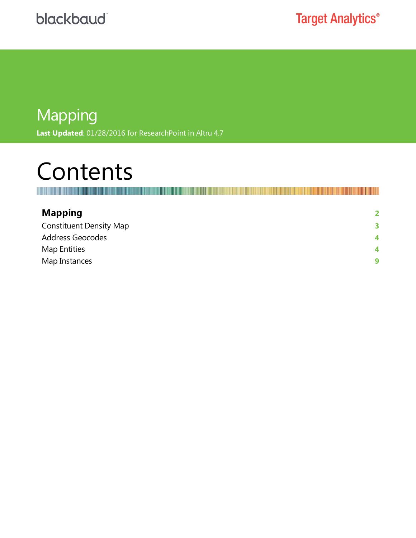## Mapping **Last Updated**: 01/28/2016 for ResearchPoint in Altru 4.7

# Contents

Ш 

| <b>Mapping</b>                 | $\mathbf{c}$ |
|--------------------------------|--------------|
| <b>Constituent Density Map</b> | 3            |
| Address Geocodes               | 4            |
| Map Entities                   | 4            |
| Map Instances                  | 9            |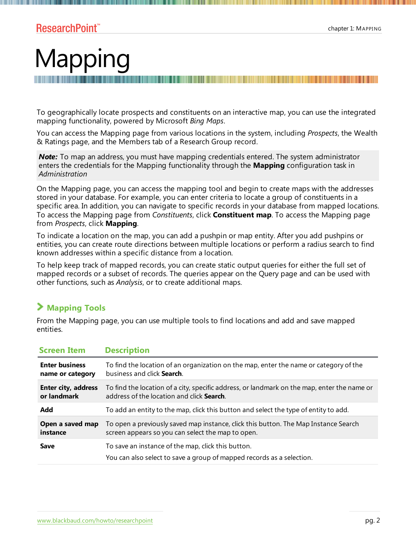# <span id="page-1-0"></span>Mapping

To geographically locate prospects and constituents on an interactive map, you can use the integrated mapping functionality, powered by Microsoft *Bing Maps*.

You can access the Mapping page from various locations in the system, including *Prospects*, the Wealth & Ratings page, and the Members tab of a Research Group record.

**Note:** To map an address, you must have mapping credentials entered. The system administrator enters the credentials for the Mapping functionality through the **Mapping** configuration task in *Administration*

On the Mapping page, you can access the mapping tool and begin to create maps with the addresses stored in your database. For example, you can enter criteria to locate a group of constituents in a specific area. In addition, you can navigate to specific records in your database from mapped locations. To access the Mapping page from *Constituents*, click **Constituent map**. To access the Mapping page from *Prospects*, click **Mapping**.

To indicate a location on the map, you can add a pushpin or map entity. After you add pushpins or entities, you can create route directions between multiple locations or perform a radius search to find known addresses within a specific distance from a location.

To help keep track of mapped records, you can create static output queries for either the full set of mapped records or a subset of records. The queries appear on the Query page and can be used with other functions, such as *Analysis*, or to create additional maps.

#### **Mapping Tools**

From the Mapping page, you can use multiple tools to find locations and add and save mapped entities.

| <b>Screen Item</b>                                                                                                                         | <b>Description</b>                                                                          |  |
|--------------------------------------------------------------------------------------------------------------------------------------------|---------------------------------------------------------------------------------------------|--|
| <b>Enter business</b>                                                                                                                      | To find the location of an organization on the map, enter the name or category of the       |  |
| name or category                                                                                                                           | business and click Search.                                                                  |  |
| Enter city, address                                                                                                                        | To find the location of a city, specific address, or landmark on the map, enter the name or |  |
| or landmark                                                                                                                                | address of the location and click <b>Search</b> .                                           |  |
| Add                                                                                                                                        | To add an entity to the map, click this button and select the type of entity to add.        |  |
| Open a saved map                                                                                                                           | To open a previously saved map instance, click this button. The Map Instance Search         |  |
| instance                                                                                                                                   | screen appears so you can select the map to open.                                           |  |
| To save an instance of the map, click this button.<br><b>Save</b><br>You can also select to save a group of mapped records as a selection. |                                                                                             |  |

[www.blackbaud.com/howto/researchpoint](https://www.blackbaud.com/howto/researchpoint.aspx) pg. 2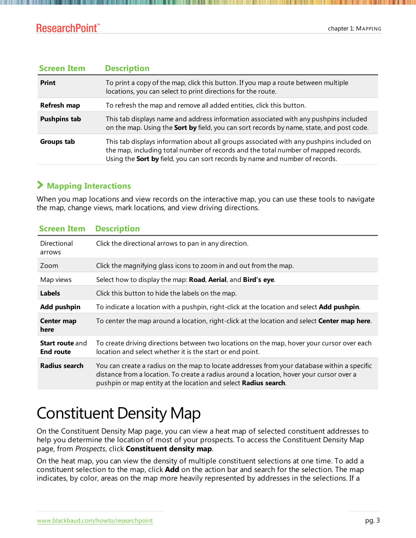#### **ResearchPoint™**

| <b>Description</b><br><b>Screen Item</b>                                                                                                                           |                                                                                                                                                                                                                                                               |
|--------------------------------------------------------------------------------------------------------------------------------------------------------------------|---------------------------------------------------------------------------------------------------------------------------------------------------------------------------------------------------------------------------------------------------------------|
| <b>Print</b><br>To print a copy of the map, click this button. If you map a route between multiple<br>locations, you can select to print directions for the route. |                                                                                                                                                                                                                                                               |
| To refresh the map and remove all added entities, click this button.<br>Refresh map                                                                                |                                                                                                                                                                                                                                                               |
| <b>Pushpins tab</b>                                                                                                                                                | This tab displays name and address information associated with any pushpins included<br>on the map. Using the <b>Sort by</b> field, you can sort records by name, state, and post code.                                                                       |
| Groups tab                                                                                                                                                         | This tab displays information about all groups associated with any pushpins included on<br>the map, including total number of records and the total number of mapped records.<br>Using the Sort by field, you can sort records by name and number of records. |

#### **Mapping Interactions**

When you map locations and view records on the interactive map, you can use these tools to navigate the map, change views, mark locations, and view driving directions.

| <b>Screen Item</b>                                                                                                                                                                                                                                                          | <b>Description</b>                                                                                                                                      |  |
|-----------------------------------------------------------------------------------------------------------------------------------------------------------------------------------------------------------------------------------------------------------------------------|---------------------------------------------------------------------------------------------------------------------------------------------------------|--|
| Directional<br>arrows                                                                                                                                                                                                                                                       | Click the directional arrows to pan in any direction.                                                                                                   |  |
| Zoom                                                                                                                                                                                                                                                                        | Click the magnifying glass icons to zoom in and out from the map.                                                                                       |  |
| Map views                                                                                                                                                                                                                                                                   | Select how to display the map: Road, Aerial, and Bird's eye.                                                                                            |  |
| <b>Labels</b>                                                                                                                                                                                                                                                               | Click this button to hide the labels on the map.                                                                                                        |  |
| <b>Add pushpin</b>                                                                                                                                                                                                                                                          | To indicate a location with a pushpin, right-click at the location and select <b>Add pushpin</b> .                                                      |  |
| Center map<br>here                                                                                                                                                                                                                                                          | To center the map around a location, right-click at the location and select Center map here.                                                            |  |
| <b>Start route and</b><br><b>End route</b>                                                                                                                                                                                                                                  | To create driving directions between two locations on the map, hover your cursor over each<br>location and select whether it is the start or end point. |  |
| You can create a radius on the map to locate addresses from your database within a specific<br>Radius search<br>distance from a location. To create a radius around a location, hover your cursor over a<br>pushpin or map entity at the location and select Radius search. |                                                                                                                                                         |  |

# <span id="page-2-0"></span>Constituent Density Map

On the Constituent Density Map page, you can view a heat map of selected constituent addresses to help you determine the location of most of your prospects. To access the Constituent Density Map page, from *Prospects*, click **Constituent density map**.

On the heat map, you can view the density of multiple constituent selections at one time. To add a constituent selection to the map, click **Add** on the action bar and search for the selection. The map indicates, by color, areas on the map more heavily represented by addresses in the selections. If a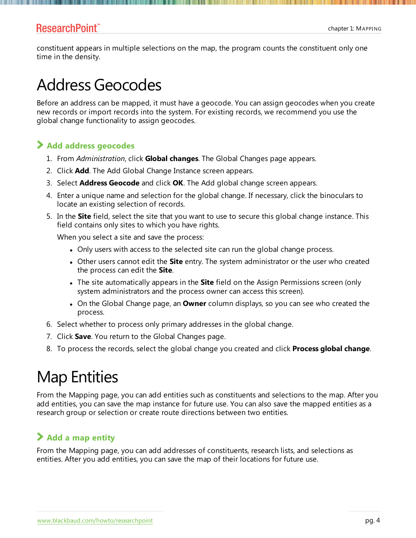<span id="page-3-0"></span>constituent appears in multiple selections on the map, the program counts the constituent only one time in the density.

# Address Geocodes

Before an address can be mapped, it must have a geocode. You can assign geocodes when you create new records or import records into the system. For existing records, we recommend you use the global change functionality to assign geocodes.

#### **Add address geocodes**

- 1. From *Administration*, click **Global changes**. The Global Changes page appears.
- 2. Click **Add**. The Add Global Change Instance screen appears.
- 3. Select **Address Geocode** and click **OK**. The Add global change screen appears.
- 4. Enter a unique name and selection for the global change. If necessary, click the binoculars to locate an existing selection of records.
- 5. In the **Site** field, select the site that you want to use to secure this global change instance. This field contains only sites to which you have rights.

When you select a site and save the process:

- Only users with access to the selected site can run the global change process.
- Other users cannot edit the **Site** entry. The system administrator or the user who created the process can edit the **Site**.
- <sup>l</sup> The site automatically appears in the **Site** field on the Assign Permissions screen (only system administrators and the process owner can access this screen).
- **•** On the Global Change page, an **Owner** column displays, so you can see who created the process.
- 6. Select whether to process only primary addresses in the global change.
- 7. Click **Save**. You return to the Global Changes page.
- <span id="page-3-1"></span>8. To process the records, select the global change you created and click **Process global change**.

# Map Entities

From the Mapping page, you can add entities such as constituents and selections to the map. After you add entities, you can save the map instance for future use. You can also save the mapped entities as a research group or selection or create route directions between two entities.

#### **Add a map entity**

From the Mapping page, you can add addresses of constituents, research lists, and selections as entities. After you add entities, you can save the map of their locations for future use.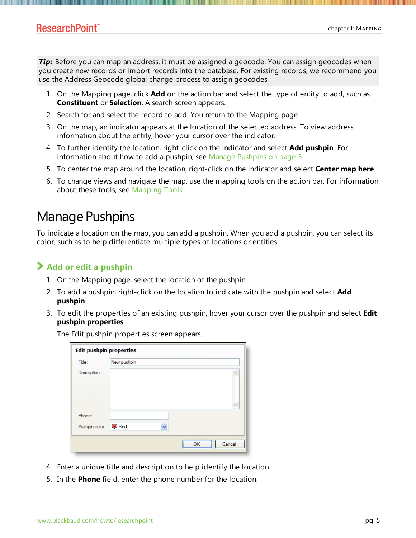**Tip:** Before you can map an address, it must be assigned a geocode. You can assign geocodes when you create new records or import records into the database. For existing records, we recommend you use the Address Geocode global change process to assign geocodes

- 1. On the Mapping page, click **Add** on the action bar and select the type of entity to add, such as **Constituent** or **Selection**. A search screen appears.
- 2. Search for and select the record to add. You return to the Mapping page.
- 3. On the map, an indicator appears at the location of the selected address. To view address information about the entity, hover your cursor over the indicator.
- 4. To further identify the location, right-click on the indicator and select **Add pushpin**. For information about how to add a pushpin, see Manage [Pushpins](#page-4-0) on page 5.
- 5. To center the map around the location, right-click on the indicator and select **Center map here**.
- 6. To change views and navigate the map, use the mapping tools on the action bar. For information about these tools, see Mapping Tools.

### <span id="page-4-0"></span>Manage Pushpins

To indicate a location on the map, you can add a pushpin. When you add a pushpin, you can select its color, such as to help differentiate multiple types of locations or entities.

#### **Add or edit a pushpin**

- 1. On the Mapping page, select the location of the pushpin.
- 2. To add a pushpin, right-click on the location to indicate with the pushpin and select **Add pushpin**.
- 3. To edit the properties of an existing pushpin, hover your cursor over the pushpin and select **Edit pushpin properties**.

The Edit pushpin properties screen appears.

| <b>Edit pushpin properties</b> |              |              |
|--------------------------------|--------------|--------------|
| Title:                         | New pushpin  |              |
| Description:                   |              | $\checkmark$ |
| Phone:                         |              |              |
| Pushpin color:                 | <b>厚</b> Red |              |
|                                |              | OK<br>Cancel |

- 4. Enter a unique title and description to help identify the location.
- 5. In the **Phone** field, enter the phone number for the location.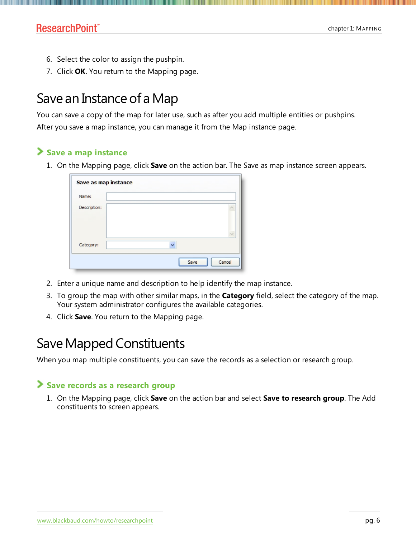- 6. Select the color to assign the pushpin.
- 7. Click **OK**. You return to the Mapping page.

# Save an Instance of a Map

You can save a copy of the map for later use, such as after you add multiple entities or pushpins. After you save a map instance, you can manage it from the Map instance page.

#### **Save a map instance**

1. On the Mapping page, click **Save** on the action bar. The Save as map instance screen appears.

| Save as map instance |                |
|----------------------|----------------|
| Name:                |                |
| Description:         |                |
| Category:            | v              |
|                      | Cancel<br>Save |

- 2. Enter a unique name and description to help identify the map instance.
- 3. To group the map with other similar maps, in the **Category** field, select the category of the map. Your system administrator configures the available categories.
- 4. Click **Save**. You return to the Mapping page.

## Save Mapped Constituents

When you map multiple constituents, you can save the records as a selection or research group.

#### **Save records as a research group**

1. On the Mapping page, click **Save** on the action bar and select **Save to research group**. The Add constituents to screen appears.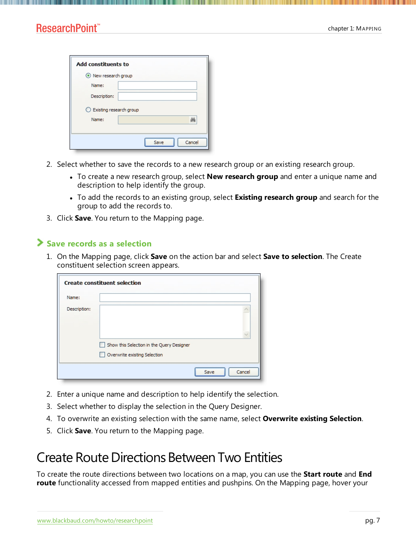| <b>Add constituents to</b> |                |
|----------------------------|----------------|
| New research group         |                |
| Name:                      |                |
| Description:               |                |
| Existing research group    |                |
| Name:                      |                |
|                            |                |
|                            | Cancel<br>Save |

- 2. Select whether to save the records to a new research group or an existing research group.
	- <sup>l</sup> To create a new research group, select **New research group** and enter a unique name and description to help identify the group.
	- <sup>l</sup> To add the records to an existing group, select **Existing research group** and search for the group to add the records to.
- 3. Click **Save**. You return to the Mapping page.

#### **Save records as a selection**

1. On the Mapping page, click **Save** on the action bar and select **Save to selection**. The Create constituent selection screen appears.

|              | <b>Create constituent selection</b>                                       |        |
|--------------|---------------------------------------------------------------------------|--------|
| Name:        |                                                                           |        |
| Description: |                                                                           |        |
|              | Show this Selection in the Query Designer<br>Overwrite existing Selection |        |
|              | Save                                                                      | Cancel |

- 2. Enter a unique name and description to help identify the selection.
- 3. Select whether to display the selection in the Query Designer.
- 4. To overwrite an existing selection with the same name, select **Overwrite existing Selection**.
- 5. Click **Save**. You return to the Mapping page.

### Create Route Directions Between Two Entities

To create the route directions between two locations on a map, you can use the **Start route** and **End route** functionality accessed from mapped entities and pushpins. On the Mapping page, hover your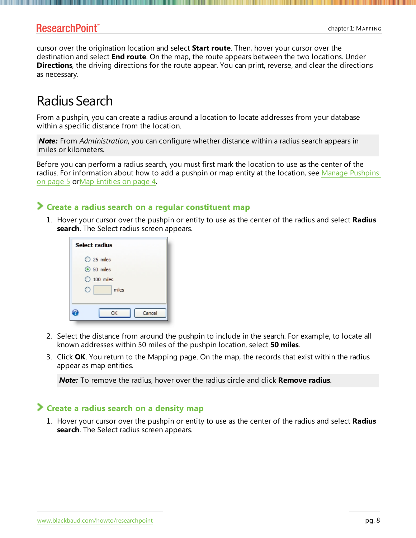cursor over the origination location and select **Start route**. Then, hover your cursor over the destination and select **End route**. On the map, the route appears between the two locations. Under **Directions**, the driving directions for the route appear. You can print, reverse, and clear the directions as necessary.

## Radius Search

From a pushpin, you can create a radius around a location to locate addresses from your database within a specific distance from the location.

*Note:* From *Administration*, you can configure whether distance within a radius search appears in miles or kilometers.

Before you can perform a radius search, you must first mark the location to use as the center of the radius. For information about how to add a pushpin or map entity at the location, see Manage [Pushpins](#page-4-0) on [page](#page-4-0) 5 orMap [Entities](#page-3-1) on page 4.

#### **Create a radius search on a regular constituent map**

1. Hover your cursor over the pushpin or entity to use as the center of the radius and select **Radius search**. The Select radius screen appears.

| Select radius        |  |  |
|----------------------|--|--|
| $O$ 25 miles         |  |  |
| $\odot$ 50 miles     |  |  |
| $\bigcirc$ 100 miles |  |  |
| miles                |  |  |
| Cancel<br>OK         |  |  |

- 2. Select the distance from around the pushpin to include in the search. For example, to locate all known addresses within 50 miles of the pushpin location, select **50 miles**.
- 3. Click **OK**. You return to the Mapping page. On the map, the records that exist within the radius appear as map entities.

*Note:* To remove the radius, hover over the radius circle and click **Remove radius**.

#### **Create a radius search on a density map**

1. Hover your cursor over the pushpin or entity to use as the center of the radius and select **Radius search**. The Select radius screen appears.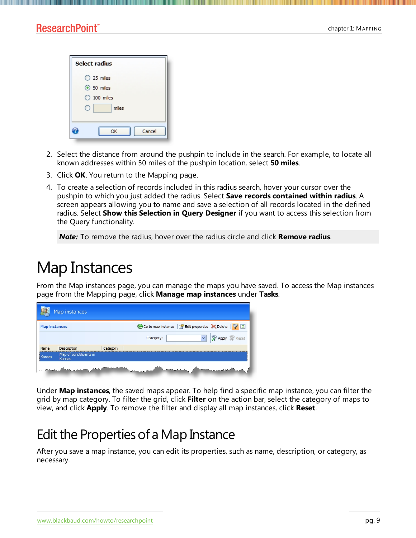| Select radius                                                     |
|-------------------------------------------------------------------|
| $O$ 25 miles<br>$\odot$ 50 miles<br>$\bigcirc$ 100 miles<br>miles |
| Cancel<br>OK                                                      |

- 2. Select the distance from around the pushpin to include in the search. For example, to locate all known addresses within 50 miles of the pushpin location, select **50 miles**.
- 3. Click **OK**. You return to the Mapping page.
- 4. To create a selection of records included in this radius search, hover your cursor over the pushpin to which you just added the radius. Select **Save records contained within radius**. A screen appears allowing you to name and save a selection of all records located in the defined radius. Select **Show this Selection in Query Designer** if you want to access this selection from the Query functionality.

*Note:* To remove the radius, hover over the radius circle and click **Remove radius**.

# <span id="page-8-0"></span>Map Instances

From the Map instances page, you can manage the maps you have saved. To access the Map instances page from the Mapping page, click **Manage map instances** under **Tasks**.

| Map instances             |                                  |             |                                                      |
|---------------------------|----------------------------------|-------------|------------------------------------------------------|
| <b>Map instances</b>      |                                  |             | Go to map instance   redit properties X Delete   7 3 |
|                           |                                  |             | <b>Apply Reset</b><br>Category:                      |
| Name                      | Description                      | Category    |                                                      |
| Kansas                    | Map of constituents in<br>Kansas |             |                                                      |
| <b>Control Manager of</b> |                                  | بالماضي وجو | <b>Construction</b><br><b>Contains comment</b>       |

Under **Map instances**, the saved maps appear. To help find a specific map instance, you can filter the grid by map category. To filter the grid, click **Filter** on the action bar, select the category of maps to view, and click **Apply**. To remove the filter and display all map instances, click **Reset**.

## Edit the Properties of a Map Instance

After you save a map instance, you can edit its properties, such as name, description, or category, as necessary.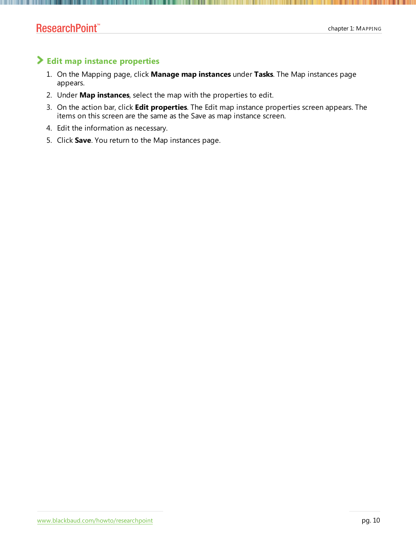#### **Edit map instance properties**

- 1. On the Mapping page, click **Manage map instances** under **Tasks**. The Map instances page appears.
- 2. Under **Map instances**, select the map with the properties to edit.
- 3. On the action bar, click **Edit properties**. The Edit map instance properties screen appears. The items on this screen are the same as the Save as map instance screen.
- 4. Edit the information as necessary.
- 5. Click **Save**. You return to the Map instances page.